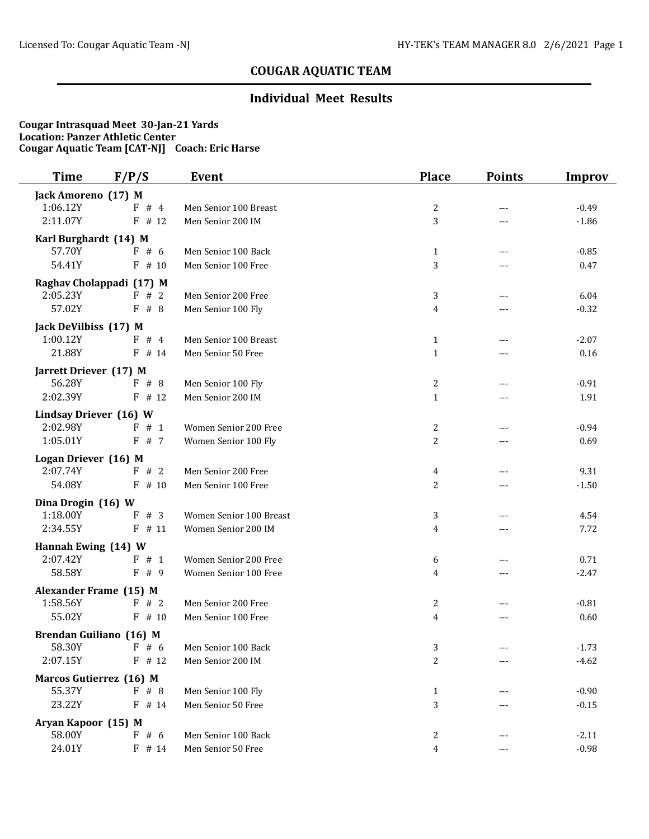# **COUGAR AQUATIC TEAM**

## **Individual Meet Results**

### **Cougar Intrasquad Meet 30-Jan-21 Yards Location: Panzer Athletic Center Cougar Aquatic Team [CAT-NJ] Coach: Eric Harse**

| <b>Time</b>              | F/P/S     | <b>Event</b>            | <b>Place</b> | <b>Points</b> | <b>Improv</b> |
|--------------------------|-----------|-------------------------|--------------|---------------|---------------|
| Jack Amoreno (17) M      |           |                         |              |               |               |
| 1:06.12Y                 | F # 4     | Men Senior 100 Breast   | 2            | $---$         | $-0.49$       |
| 2:11.07Y                 | $F$ # 12  | Men Senior 200 IM       | 3            | ---           | $-1.86$       |
| Karl Burghardt (14) M    |           |                         |              |               |               |
| 57.70Y                   | F#6       | Men Senior 100 Back     | $\mathbf{1}$ | $---$         | $-0.85$       |
| 54.41Y                   | $F$ # 10  | Men Senior 100 Free     | 3            |               | 0.47          |
| Raghav Cholappadi (17) M |           |                         |              |               |               |
| 2:05.23Y                 | F # 2     | Men Senior 200 Free     | 3            |               | 6.04          |
| 57.02Y                   | F#8       | Men Senior 100 Fly      | 4            | $---$         | $-0.32$       |
| Jack DeVilbiss (17) M    |           |                         |              |               |               |
| 1:00.12Y                 | F # 4     | Men Senior 100 Breast   | $\mathbf{1}$ | ---           | $-2.07$       |
| 21.88Y                   | $F$ # 14  | Men Senior 50 Free      | $\mathbf 1$  | ---           | 0.16          |
| Jarrett Driever (17) M   |           |                         |              |               |               |
| 56.28Y                   | F # 8     | Men Senior 100 Fly      | 2            | ---           | $-0.91$       |
| 2:02.39Y                 | $F$ # 12  | Men Senior 200 IM       | $\mathbf{1}$ |               | 1.91          |
| Lindsay Driever (16) W   |           |                         |              |               |               |
| 2:02.98Y                 | F # 1     | Women Senior 200 Free   | 2            | ---           | $-0.94$       |
| 1:05.01Y                 | F # 7     | Women Senior 100 Fly    | 2            | ---           | 0.69          |
| Logan Driever (16) M     |           |                         |              |               |               |
| 2:07.74Y                 | F # 2     | Men Senior 200 Free     | 4            | $---$         | 9.31          |
| 54.08Y                   | F<br># 10 | Men Senior 100 Free     | 2            | ---           | $-1.50$       |
| Dina Drogin (16) W       |           |                         |              |               |               |
| 1:18.00Y                 | F<br># 3  | Women Senior 100 Breast | 3            | $---$         | 4.54          |
| 2:34.55Y                 | $F$ # 11  | Women Senior 200 IM     | 4            | ---           | 7.72          |
| Hannah Ewing (14) W      |           |                         |              |               |               |
| 2:07.42Y                 | F # 1     | Women Senior 200 Free   | 6            | $---$         | 0.71          |
| 58.58Y                   | F # 9     | Women Senior 100 Free   | 4            | $---$         | $-2.47$       |
| Alexander Frame (15) M   |           |                         |              |               |               |
| 1:58.56Y                 | F # 2     | Men Senior 200 Free     | 2            | $---$         | $-0.81$       |
| 55.02Y                   | # 10<br>F | Men Senior 100 Free     | 4            | ---           | 0.60          |
| Brendan Guiliano (16) M  |           |                         |              |               |               |
| 58.30Y                   | $F \# 6$  | Men Senior 100 Back     | 3            |               | $-1.73$       |
| 2:07.15Y                 | $F$ # 12  | Men Senior 200 IM       | 2            | ---           | $-4.62$       |
| Marcos Gutierrez (16) M  |           |                         |              |               |               |
| 55.37Y                   | $F$ # 8   | Men Senior 100 Fly      | $\mathbf{1}$ |               | $-0.90$       |
| 23.22Y                   | $F$ # 14  | Men Senior 50 Free      | 3            |               | $-0.15$       |
| Aryan Kapoor (15) M      |           |                         |              |               |               |
| 58.00Y                   | F#6       | Men Senior 100 Back     | 2            |               | $-2.11$       |
| 24.01Y                   | $F$ # 14  | Men Senior 50 Free      | 4            | ---           | $-0.98$       |
|                          |           |                         |              |               |               |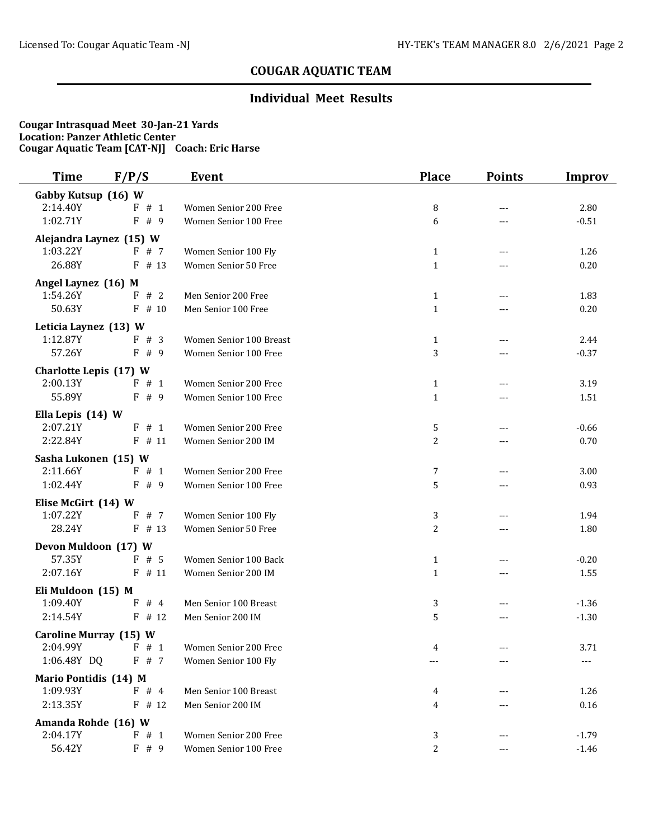# **COUGAR AQUATIC TEAM**

## **Individual Meet Results**

### **Cougar Intrasquad Meet 30-Jan-21 Yards Location: Panzer Athletic Center Cougar Aquatic Team [CAT-NJ] Coach: Eric Harse**

| Time                    | F/P/S    | <b>Event</b>            | <b>Place</b>   | <b>Points</b> | Improv   |
|-------------------------|----------|-------------------------|----------------|---------------|----------|
| Gabby Kutsup (16) W     |          |                         |                |               |          |
| 2:14.40Y                | F # 1    | Women Senior 200 Free   | 8              | $---$         | 2.80     |
| 1:02.71Y                | F#9      | Women Senior 100 Free   | 6              | ---           | $-0.51$  |
| Alejandra Laynez (15) W |          |                         |                |               |          |
| 1:03.22Y                | F # 7    | Women Senior 100 Fly    | $\mathbf{1}$   | ---           | 1.26     |
| 26.88Y                  | $F$ # 13 | Women Senior 50 Free    | $\mathbf{1}$   |               | 0.20     |
| Angel Laynez (16) M     |          |                         |                |               |          |
| 1:54.26Y                | F # 2    | Men Senior 200 Free     | $\mathbf{1}$   |               | 1.83     |
| 50.63Y                  | $F$ # 10 | Men Senior 100 Free     | $\mathbf{1}$   | $---$         | 0.20     |
| Leticia Laynez (13) W   |          |                         |                |               |          |
| 1:12.87Y                | F # 3    | Women Senior 100 Breast | $\mathbf{1}$   | $---$         | 2.44     |
| 57.26Y                  | F#9      | Women Senior 100 Free   | 3              |               | $-0.37$  |
| Charlotte Lepis (17) W  |          |                         |                |               |          |
| 2:00.13Y                | F # 1    | Women Senior 200 Free   | $\mathbf{1}$   | ---           | 3.19     |
| 55.89Y                  | $F$ # 9  | Women Senior 100 Free   | $\mathbf{1}$   | ---           | 1.51     |
| Ella Lepis (14) W       |          |                         |                |               |          |
| 2:07.21Y                | F # 1    | Women Senior 200 Free   | 5              | ---           | $-0.66$  |
| 2:22.84Y                | $F$ # 11 | Women Senior 200 IM     | $\overline{c}$ | ---           | 0.70     |
| Sasha Lukonen (15) W    |          |                         |                |               |          |
| 2:11.66Y                | F#1      | Women Senior 200 Free   | 7              | $\cdots$      | 3.00     |
| 1:02.44Y                | F<br># 9 | Women Senior 100 Free   | 5              |               | 0.93     |
| Elise McGirt (14) W     |          |                         |                |               |          |
| 1:07.22Y                | # 7<br>F | Women Senior 100 Fly    | 3              | $---$         | 1.94     |
| 28.24Y                  | $F$ # 13 | Women Senior 50 Free    | 2              | ---           | 1.80     |
| Devon Muldoon (17) W    |          |                         |                |               |          |
| 57.35Y                  | F<br>#5  | Women Senior 100 Back   | $\mathbf{1}$   | ---           | $-0.20$  |
| 2:07.16Y                | $F$ # 11 | Women Senior 200 IM     | $\mathbf{1}$   | $---$         | 1.55     |
| Eli Muldoon (15) M      |          |                         |                |               |          |
| 1:09.40Y                | #4<br>F  | Men Senior 100 Breast   | 3              | $---$         | $-1.36$  |
| 2:14.54Y                | $F$ # 12 | Men Senior 200 IM       | 5              | $---$         | $-1.30$  |
| Caroline Murray (15) W  |          |                         |                |               |          |
| 2:04.99Y                | $F \# 1$ | Women Senior 200 Free   | 4              |               | 3.71     |
| 1:06.48Y DQ             | F#7      | Women Senior 100 Fly    |                |               |          |
| Mario Pontidis (14) M   |          |                         |                |               |          |
| 1:09.93Y                | F # 4    | Men Senior 100 Breast   | 4              |               | 1.26     |
| 2:13.35Y                | $F$ # 12 | Men Senior 200 IM       | 4              |               | $0.16\,$ |
| Amanda Rohde (16) W     |          |                         |                |               |          |
| 2:04.17Y                | F # 1    | Women Senior 200 Free   | 3              |               | $-1.79$  |
| 56.42Y                  | F#9      | Women Senior 100 Free   | 2              | ---           | $-1.46$  |
|                         |          |                         |                |               |          |